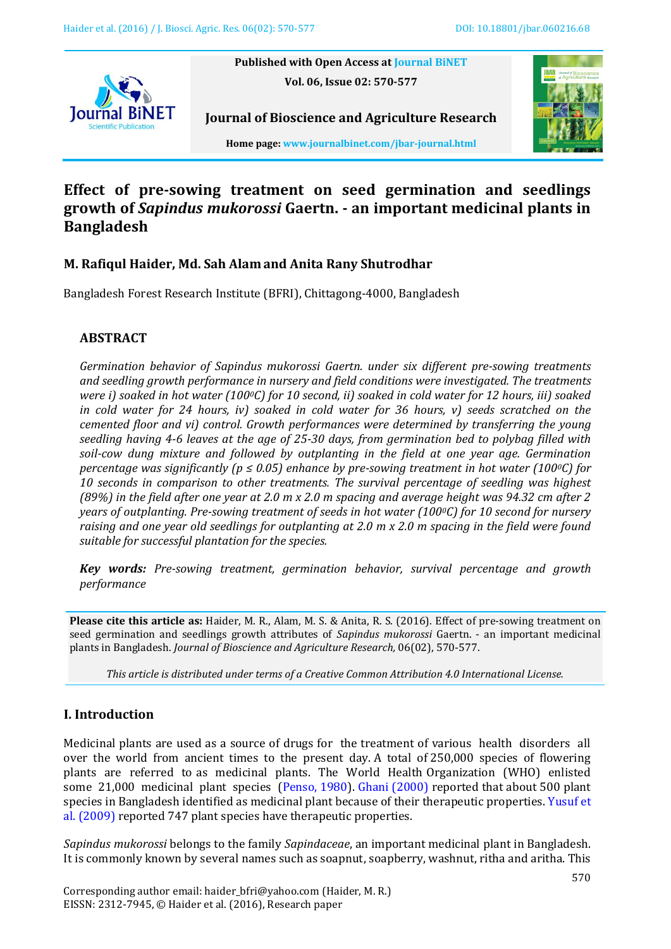

**Published with Open Access at [Journal BiNET](http://www.journalbinet.com/) Vol. 06, Issue 02: 570-577**



**Journal of Bioscience and Agriculture Research Home page[: www.journalbinet.com/jbar-journal.html](http://www.journalbinet.com/jbar-journal.html)**

# **Effect of pre-sowing treatment on seed germination and seedlings growth of** *Sapindus mukorossi* **Gaertn. - an important medicinal plants in Bangladesh**

## **M. Rafiqul Haider, Md. Sah Alam and Anita Rany Shutrodhar**

Bangladesh Forest Research Institute (BFRI), Chittagong-4000, Bangladesh

### **ABSTRACT**

*Germination behavior of Sapindus mukorossi Gaertn. under six different pre-sowing treatments and seedling growth performance in nursery and field conditions were investigated. The treatments were i) soaked in hot water (1000C) for 10 second, ii) soaked in cold water for 12 hours, iii) soaked in cold water for 24 hours, iv) soaked in cold water for 36 hours, v) seeds scratched on the cemented floor and vi) control. Growth performances were determined by transferring the young seedling having 4-6 leaves at the age of 25-30 days, from germination bed to polybag filled with soil-cow dung mixture and followed by outplanting in the field at one year age. Germination percentage was significantly (p ≤ 0.05) enhance by pre-sowing treatment in hot water (1000C) for 10 seconds in comparison to other treatments. The survival percentage of seedling was highest (89%) in the field after one year at 2.0 m x 2.0 m spacing and average height was 94.32 cm after 2 years of outplanting. Pre-sowing treatment of seeds in hot water (1000C) for 10 second for nursery raising and one year old seedlings for outplanting at 2.0 m x 2.0 m spacing in the field were found suitable for successful plantation for the species.*

*Key words: Pre-sowing treatment, germination behavior, survival percentage and growth performance*

**Please cite this article as:** Haider, M. R., Alam, M. S. & Anita, R. S. (2016). Effect of pre-sowing treatment on seed germination and seedlings growth attributes of *Sapindus mukorossi* Gaertn. - an important medicinal plants in Bangladesh. *Journal of Bioscience and Agriculture Research,* 06(02), 570-577.

*This article is distributed under terms of a Creative Common Attribution 4.0 International License.*

### **I. Introduction**

Medicinal plants are used as a source of drugs for the treatment of various health disorders all over the world from ancient times to the present day. A total of 250,000 species of flowering plants are referred to as medicinal plants. The World Health Organization (WHO) enlisted some 21,000 medicinal plant species [\(Penso, 1980\)](#page-7-0)[. Ghani \(2000\)](#page-6-0) reported that about 500 plant species in Bangladesh identified as medicinal plant because of their therapeutic properties[. Yusuf et](#page-7-1)  al. [\(2009\)](#page-7-1) reported 747 plant species have therapeutic properties.

*Sapindus mukorossi* belongs to the family *Sapindaceae*, an important medicinal plant in Bangladesh. It is commonly known by several names such as soapnut, soapberry, washnut, ritha and aritha. This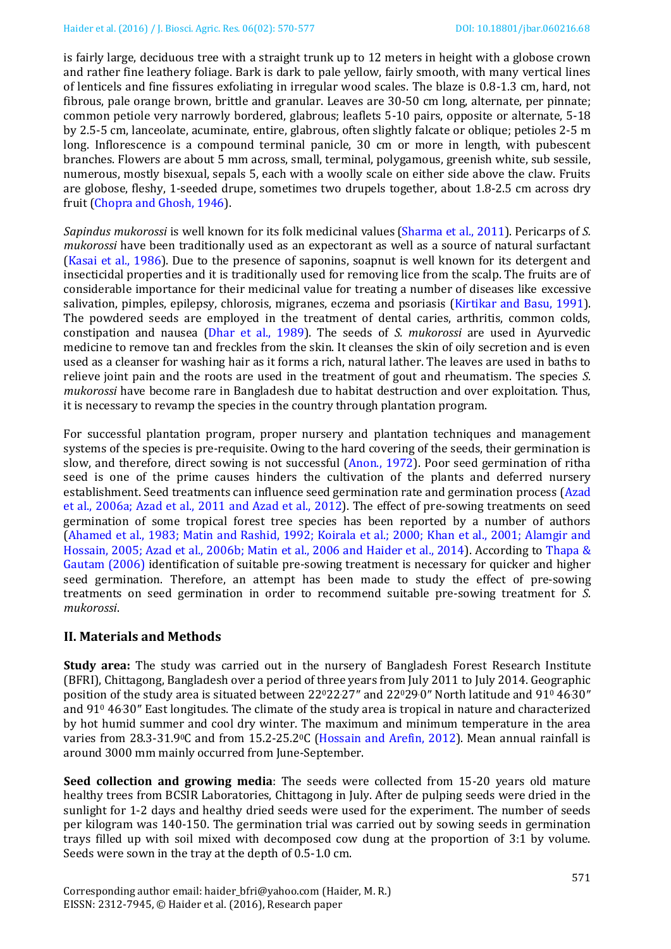is fairly large, deciduous tree with a straight trunk up to 12 meters in height with a globose crown and rather fine leathery foliage. Bark is dark to pale yellow, fairly smooth, with many vertical lines of lenticels and fine fissures exfoliating in irregular wood scales. The blaze is 0.8-1.3 cm, hard, not fibrous, pale orange brown, brittle and granular. Leaves are 30-50 cm long, alternate, per pinnate; common petiole very narrowly bordered, glabrous; leaflets 5-10 pairs, opposite or alternate, 5-18 by 2.5-5 cm, lanceolate, acuminate, entire, glabrous, often slightly falcate or oblique; petioles 2-5 m long. Inflorescence is a compound terminal panicle, 30 cm or more in length, with pubescent branches. Flowers are about 5 mm across, small, terminal, polygamous, greenish white, sub sessile, numerous, mostly bisexual, sepals 5, each with a woolly scale on either side above the claw. Fruits are globose, fleshy, 1-seeded drupe, sometimes two drupels together, about 1.8-2.5 cm across dry fruit [\(Chopra and Ghosh, 1946\)](#page-6-1).

*Sapindus mukorossi* is well known for its folk medicinal values [\(Sharma et al.,](#page-7-2) 2011). Pericarps of *S. mukorossi* have been traditionally used as an expectorant as well as a source of natural surfactant [\(Kasai et al.,](#page-6-2) 1986). Due to the presence of saponins, soapnut is well known for its detergent and insecticidal properties and it is traditionally used for removing lice from the scalp. The fruits are of considerable importance for their medicinal value for treating a number of diseases like excessive salivation, pimples, epilepsy, chlorosis, migranes, eczema and psoriasis [\(Kirtikar and Basu, 1991\)](#page-6-3). The powdered seeds are employed in the treatment of dental caries, arthritis, common colds, constipation and nausea [\(Dhar et al.,](#page-6-4) 1989). The seeds of *S. mukorossi* are used in Ayurvedic medicine to remove tan and freckles from the skin. It cleanses the skin of oily secretion and is even used as a cleanser for washing hair as it forms a rich, natural lather. The leaves are used in baths to relieve joint pain and the roots are used in the treatment of gout and rheumatism. The species *S. mukorossi* have become rare in Bangladesh due to habitat destruction and over exploitation. Thus, it is necessary to revamp the species in the country through plantation program.

For successful plantation program, proper nursery and plantation techniques and management systems of the species is pre-requisite. Owing to the hard covering of the seeds, their germination is slow, and therefore, direct sowing is not successful [\(Anon., 1972\)](#page-6-5). Poor seed germination of ritha seed is one of the prime causes hinders the cultivation of the plants and deferred nursery establishment. Seed treatments can influence seed germination rate and germination process [\(Azad](#page-6-6)  et al., [2006a;](#page-6-6) [Azad et](#page-6-6) al., 2011 and [Azad et al., 2012\)](#page-6-6). The effect of pre-sowing treatments on seed germination of some tropical forest tree species has been reported by a number of authors [\(Ahamed et al., 1983;](#page-6-7) [Matin and Rashid,](#page-7-3) 1992; [Koirala et al.; 2000;](#page-6-8) [Khan et al., 2001;](#page-6-9) [Alamgir and](#page-6-10)  [Hossain,](#page-6-10) 2005; [Azad et al.,](#page-6-6) 2006b; [Matin et al., 2006 a](#page-7-4)nd [Haider et al., 2014\)](#page-6-11). According to [Thapa &](#page-7-5)  [Gautam \(2006\)](#page-7-5) identification of suitable pre-sowing treatment is necessary for quicker and higher seed germination. Therefore, an attempt has been made to study the effect of pre-sowing treatments on seed germination in order to recommend suitable pre-sowing treatment for *S. mukorossi*.

### **II. Materials and Methods**

**Study area:** The study was carried out in the nursery of Bangladesh Forest Research Institute (BFRI), Chittagong, Bangladesh over a period of three years from July 2011 to July 2014. Geographic position of the study area is situated between 22022.27″ and 22029.0″ North latitude and 91<sup>0</sup> 46.30″ and 91<sup>0</sup> 46.30″ East longitudes. The climate of the study area is tropical in nature and characterized by hot humid summer and cool dry winter. The maximum and minimum temperature in the area varies from 28.3-31.90C and from 15.2-25.20C [\(Hossain and Arefin, 2012\)](#page-6-12). Mean annual rainfall is around 3000 mm mainly occurred from June-September.

**Seed collection and growing media**: The seeds were collected from 15-20 years old mature healthy trees from BCSIR Laboratories, Chittagong in July. After de pulping seeds were dried in the sunlight for 1-2 days and healthy dried seeds were used for the experiment. The number of seeds per kilogram was 140-150. The germination trial was carried out by sowing seeds in germination trays filled up with soil mixed with decomposed cow dung at the proportion of 3:1 by volume. Seeds were sown in the tray at the depth of 0.5-1.0 cm.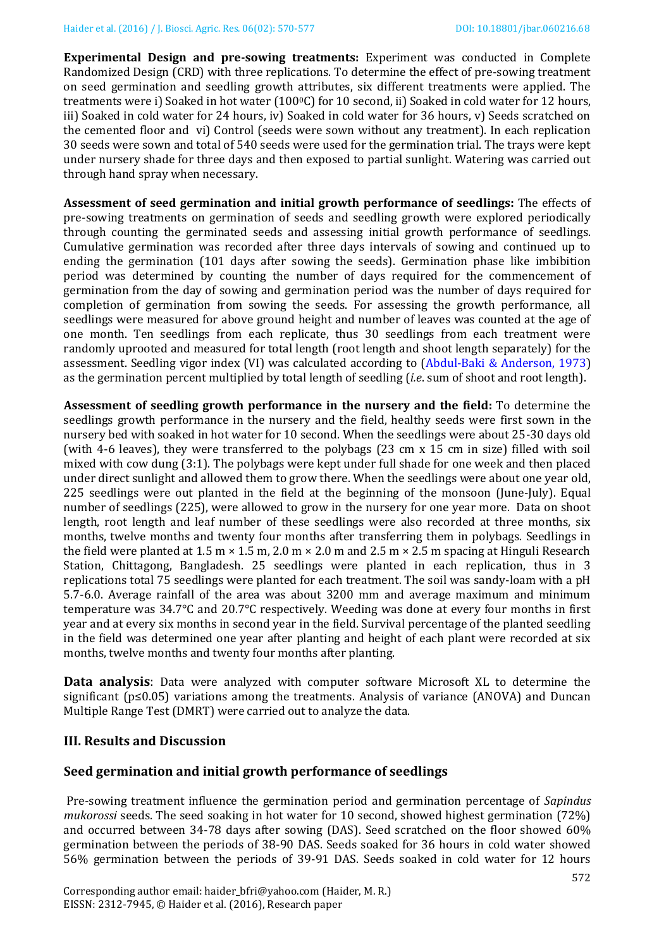**Experimental Design and pre-sowing treatments:** Experiment was conducted in Complete Randomized Design (CRD) with three replications. To determine the effect of pre-sowing treatment on seed germination and seedling growth attributes, six different treatments were applied. The treatments were i) Soaked in hot water (100°C) for 10 second, ii) Soaked in cold water for 12 hours, iii) Soaked in cold water for 24 hours, iv) Soaked in cold water for 36 hours, v) Seeds scratched on the cemented floor and vi) Control (seeds were sown without any treatment). In each replication 30 seeds were sown and total of 540 seeds were used for the germination trial. The trays were kept under nursery shade for three days and then exposed to partial sunlight. Watering was carried out through hand spray when necessary.

**Assessment of seed germination and initial growth performance of seedlings:** The effects of pre-sowing treatments on germination of seeds and seedling growth were explored periodically through counting the germinated seeds and assessing initial growth performance of seedlings. Cumulative germination was recorded after three days intervals of sowing and continued up to ending the germination (101 days after sowing the seeds). Germination phase like imbibition period was determined by counting the number of days required for the commencement of germination from the day of sowing and germination period was the number of days required for completion of germination from sowing the seeds. For assessing the growth performance, all seedlings were measured for above ground height and number of leaves was counted at the age of one month. Ten seedlings from each replicate, thus 30 seedlings from each treatment were randomly uprooted and measured for total length (root length and shoot length separately) for the assessment. Seedling vigor index (VI) was calculated according to (Abdul-Baki [& Anderson, 1973\)](#page-6-13) as the germination percent multiplied by total length of seedling (*i.e*. sum of shoot and root length).

**Assessment of seedling growth performance in the nursery and the field:** To determine the seedlings growth performance in the nursery and the field, healthy seeds were first sown in the nursery bed with soaked in hot water for 10 second. When the seedlings were about 25-30 days old (with 4-6 leaves), they were transferred to the polybags (23 cm x 15 cm in size) filled with soil mixed with cow dung (3:1). The polybags were kept under full shade for one week and then placed under direct sunlight and allowed them to grow there. When the seedlings were about one year old, 225 seedlings were out planted in the field at the beginning of the monsoon (June-July). Equal number of seedlings (225), were allowed to grow in the nursery for one year more. Data on shoot length, root length and leaf number of these seedlings were also recorded at three months, six months, twelve months and twenty four months after transferring them in polybags. Seedlings in the field were planted at 1.5 m  $\times$  1.5 m, 2.0 m  $\times$  2.0 m and 2.5 m  $\times$  2.5 m spacing at Hinguli Research Station, Chittagong, Bangladesh. 25 seedlings were planted in each replication, thus in 3 replications total 75 seedlings were planted for each treatment. The soil was sandy-loam with a pH 5.7-6.0. Average rainfall of the area was about 3200 mm and average maximum and minimum temperature was 34.7°C and 20.7°C respectively. Weeding was done at every four months in first year and at every six months in second year in the field. Survival percentage of the planted seedling in the field was determined one year after planting and height of each plant were recorded at six months, twelve months and twenty four months after planting.

**Data analysis**: Data were analyzed with computer software Microsoft XL to determine the significant (p≤0.05) variations among the treatments. Analysis of variance (ANOVA) and Duncan Multiple Range Test (DMRT) were carried out to analyze the data.

#### **III. Results and Discussion**

#### **Seed germination and initial growth performance of seedlings**

Pre-sowing treatment influence the germination period and germination percentage of *Sapindus mukorossi* seeds. The seed soaking in hot water for 10 second, showed highest germination (72%) and occurred between 34-78 days after sowing (DAS). Seed scratched on the floor showed 60% germination between the periods of 38-90 DAS. Seeds soaked for 36 hours in cold water showed 56% germination between the periods of 39-91 DAS. Seeds soaked in cold water for 12 hours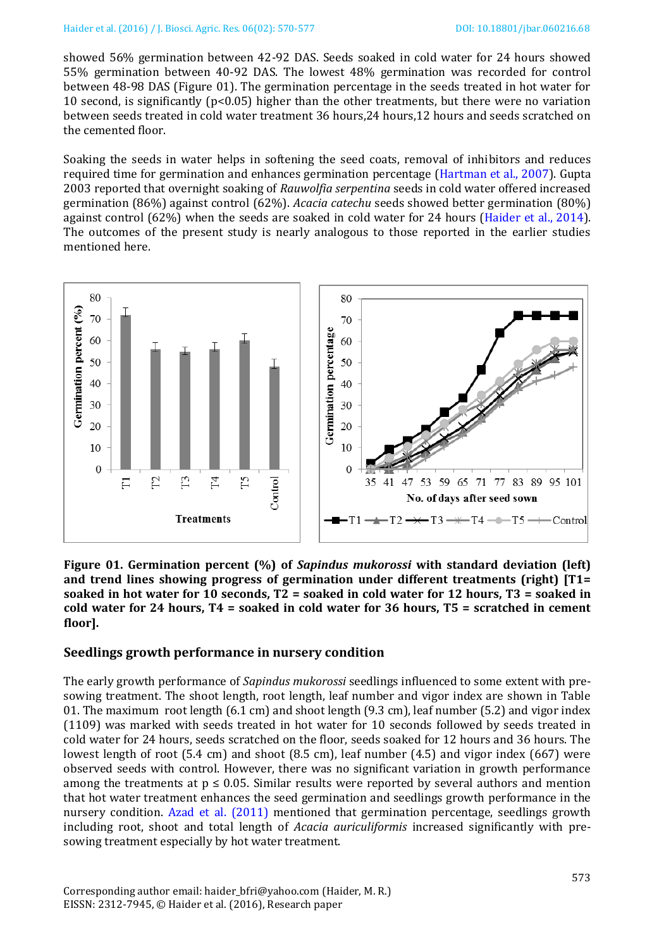showed 56% germination between 42-92 DAS. Seeds soaked in cold water for 24 hours showed 55% germination between 40-92 DAS. The lowest 48% germination was recorded for control between 48-98 DAS (Figure 01). The germination percentage in the seeds treated in hot water for 10 second, is significantly  $(p<0.05)$  higher than the other treatments, but there were no variation between seeds treated in cold water treatment 36 hours,24 hours,12 hours and seeds scratched on the cemented floor.

Soaking the seeds in water helps in softening the seed coats, removal of inhibitors and reduces required time for germination and enhances germination percentage [\(Hartman et al., 2007\)](#page-6-14). Gupta 2003 reported that overnight soaking of *Rauwolfia serpentina* seeds in cold water offered increased germination (86%) against control (62%). *Acacia catechu* seeds showed better germination (80%) against control (62%) when the seeds are soaked in cold water for 24 hours (Haider [et al., 2014\)](#page-6-11). The outcomes of the present study is nearly analogous to those reported in the earlier studies mentioned here.



**Figure 01. Germination percent (%) of** *Sapindus mukorossi* **with standard deviation (left) and trend lines showing progress of germination under different treatments (right) [T1= soaked in hot water for 10 seconds, T2 = soaked in cold water for 12 hours, T3 = soaked in cold water for 24 hours, T4 = soaked in cold water for 36 hours, T5 = scratched in cement floor].**

### **Seedlings growth performance in nursery condition**

The early growth performance of *Sapindus mukorossi* seedlings influenced to some extent with presowing treatment. The shoot length, root length, leaf number and vigor index are shown in Table 01. The maximum root length (6.1 cm) and shoot length (9.3 cm), leaf number (5.2) and vigor index (1109) was marked with seeds treated in hot water for 10 seconds followed by seeds treated in cold water for 24 hours, seeds scratched on the floor, seeds soaked for 12 hours and 36 hours. The lowest length of root (5.4 cm) and shoot (8.5 cm), leaf number (4.5) and vigor index (667) were observed seeds with control. However, there was no significant variation in growth performance among the treatments at  $p \le 0.05$ . Similar results were reported by several authors and mention that hot water treatment enhances the seed germination and seedlings growth performance in the nursery condition. [Azad et al.](#page-6-6) (2011) mentioned that germination percentage, seedlings growth including root, shoot and total length of *Acacia auriculiformis* increased significantly with presowing treatment especially by hot water treatment.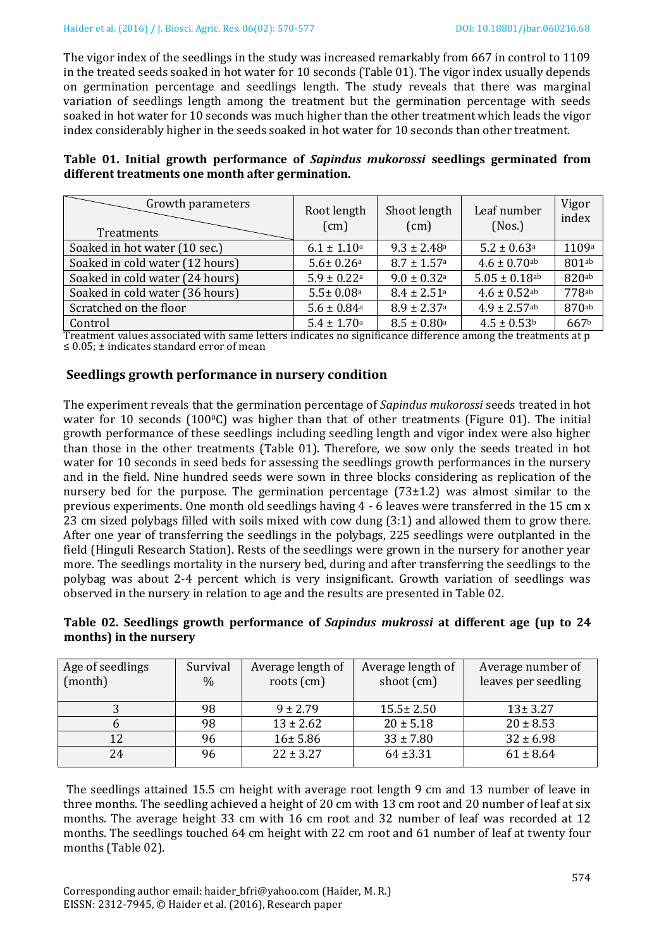The vigor index of the seedlings in the study was increased remarkably from 667 in control to 1109 in the treated seeds soaked in hot water for 10 seconds (Table 01). The vigor index usually depends on germination percentage and seedlings length. The study reveals that there was marginal variation of seedlings length among the treatment but the germination percentage with seeds soaked in hot water for 10 seconds was much higher than the other treatment which leads the vigor index considerably higher in the seeds soaked in hot water for 10 seconds than other treatment.

|  |  | Table 01. Initial growth performance of Sapindus mukorossi seedlings germinated from |  |  |  |
|--|--|--------------------------------------------------------------------------------------|--|--|--|
|  |  | different treatments one month after germination.                                    |  |  |  |

| Growth parameters<br>Treatments                                                                            | Root length<br>(cm)                   | Shoot length<br>(cm)           | Leaf number<br>(Nos.)        | Vigor<br>index |
|------------------------------------------------------------------------------------------------------------|---------------------------------------|--------------------------------|------------------------------|----------------|
| Soaked in hot water (10 sec.)                                                                              | $6.1 \pm 1.10^a$                      | $9.3 \pm 2.48$ <sup>a</sup>    | $5.2 \pm 0.63$ <sup>a</sup>  | 1109a          |
| Soaked in cold water (12 hours)                                                                            | $5.6 \pm 0.26$ <sup>a</sup>           | $8.7 \pm 1.57$ <sup>a</sup>    | $4.6 \pm 0.70$ ab            | 801ab          |
| Soaked in cold water (24 hours)                                                                            | $5.9 \pm 0.22$ <sup>a</sup>           | $9.0 \pm 0.32$ <sup>a</sup>    | $5.05 \pm 0.18$ ab           | 820ab          |
| Soaked in cold water (36 hours)                                                                            | $5.5 \pm 0.08$ <sup>a</sup>           | $8.4 \pm 2.51$ <sup>a</sup>    | $4.6 \pm 0.52$ ab            | 778ab          |
| Scratched on the floor                                                                                     | $5.6 \pm 0.84$ <sup>a</sup>           | $8.9 \pm 2.37$ <sup>a</sup>    | $4.9 \pm 2.57$ <sup>ab</sup> | 870ab          |
| Control<br>$\cdots$<br>$\cdots$<br>$\mathbf{r}$ . The state $\mathbf{r}$ is the state of $\mathbf{r}$<br>. | $5.4 \pm 1.70$ <sup>a</sup><br>$\sim$ | $8.5 \pm 0.80^{\rm a}$<br>1.00 | $4.5 \pm 0.53$ <sup>b</sup>  | 667b           |

Treatment values associated with same letters indicates no significance difference among the treatments at p ≤ 0.05; ± indicates standard error of mean

### **Seedlings growth performance in nursery condition**

The experiment reveals that the germination percentage of *Sapindus mukorossi* seeds treated in hot water for 10 seconds (100 $\degree$ C) was higher than that of other treatments (Figure 01). The initial growth performance of these seedlings including seedling length and vigor index were also higher than those in the other treatments (Table 01). Therefore, we sow only the seeds treated in hot water for 10 seconds in seed beds for assessing the seedlings growth performances in the nursery and in the field. Nine hundred seeds were sown in three blocks considering as replication of the nursery bed for the purpose. The germination percentage (73±1.2) was almost similar to the previous experiments. One month old seedlings having 4 - 6 leaves were transferred in the 15 cm x 23 cm sized polybags filled with soils mixed with cow dung (3:1) and allowed them to grow there. After one year of transferring the seedlings in the polybags, 225 seedlings were outplanted in the field (Hinguli Research Station). Rests of the seedlings were grown in the nursery for another year more. The seedlings mortality in the nursery bed, during and after transferring the seedlings to the polybag was about 2-4 percent which is very insignificant. Growth variation of seedlings was observed in the nursery in relation to age and the results are presented in Table 02.

#### **Table 02. Seedlings growth performance of** *Sapindus mukrossi* **at different age (up to 24 months) in the nursery**

| Age of seedlings | Survival      | Average length of | Average length of | Average number of   |
|------------------|---------------|-------------------|-------------------|---------------------|
| (month)          | $\frac{0}{0}$ | roots $(cm)$      | shoot (cm)        | leaves per seedling |
|                  |               |                   |                   |                     |
|                  | 98            | $9 \pm 2.79$      | $15.5 \pm 2.50$   | $13 \pm 3.27$       |
|                  | 98            | $13 \pm 2.62$     | $20 \pm 5.18$     | $20 \pm 8.53$       |
| 12               | 96            | 16±5.86           | $33 \pm 7.80$     | $32 \pm 6.98$       |
| 24               | 96            | $22 \pm 3.27$     | $64 + 3.31$       | $61 \pm 8.64$       |

The seedlings attained 15.5 cm height with average root length 9 cm and 13 number of leave in three months. The seedling achieved a height of 20 cm with 13 cm root and 20 number of leaf at six months. The average height 33 cm with 16 cm root and 32 number of leaf was recorded at 12 months. The seedlings touched 64 cm height with 22 cm root and 61 number of leaf at twenty four months (Table 02).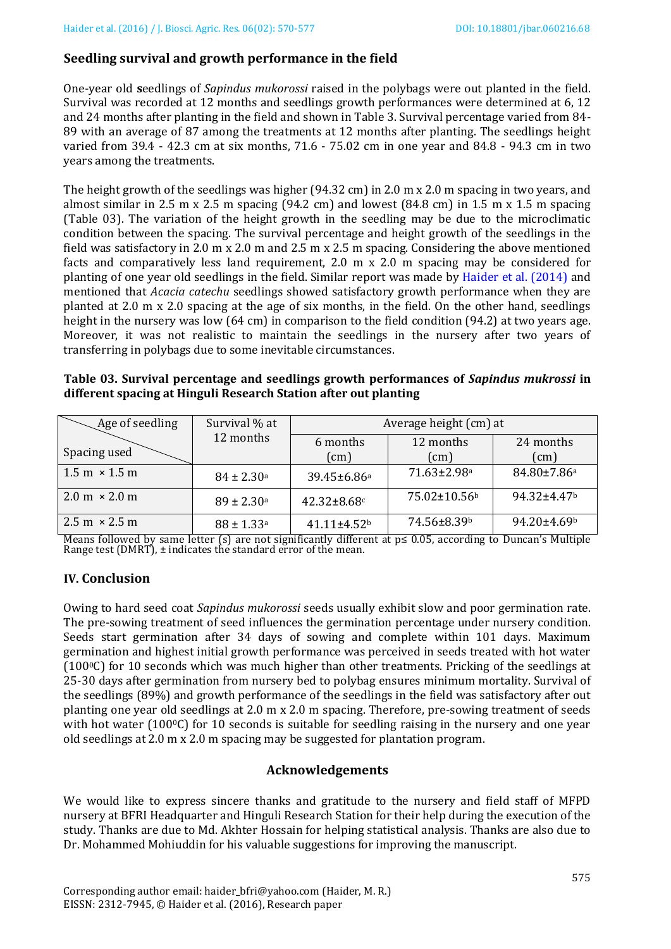### **Seedling survival and growth performance in the field**

One-year old **s**eedlings of *Sapindus mukorossi* raised in the polybags were out planted in the field. Survival was recorded at 12 months and seedlings growth performances were determined at 6, 12 and 24 months after planting in the field and shown in Table 3. Survival percentage varied from 84- 89 with an average of 87 among the treatments at 12 months after planting. The seedlings height varied from 39.4 - 42.3 cm at six months, 71.6 - 75.02 cm in one year and 84.8 - 94.3 cm in two years among the treatments.

The height growth of the seedlings was higher (94.32 cm) in 2.0 m x 2.0 m spacing in two years, and almost similar in 2.5 m x 2.5 m spacing (94.2 cm) and lowest (84.8 cm) in 1.5 m x 1.5 m spacing (Table 03). The variation of the height growth in the seedling may be due to the microclimatic condition between the spacing. The survival percentage and height growth of the seedlings in the field was satisfactory in 2.0 m x 2.0 m and 2.5 m x 2.5 m spacing. Considering the above mentioned facts and comparatively less land requirement, 2.0 m x 2.0 m spacing may be considered for planting of one year old seedlings in the field. Similar report was made by [Haider et al.](#page-6-11) (2014) and mentioned that *Acacia catechu* seedlings showed satisfactory growth performance when they are planted at 2.0 m x 2.0 spacing at the age of six months, in the field. On the other hand, seedlings height in the nursery was low (64 cm) in comparison to the field condition (94.2) at two years age. Moreover, it was not realistic to maintain the seedlings in the nursery after two years of transferring in polybags due to some inevitable circumstances.

**Table 03. Survival percentage and seedlings growth performances of** *Sapindus mukrossi* **in different spacing at Hinguli Research Station after out planting**

| Age of seedling                      | Survival % at              | Average height (cm) at  |                            |                               |  |
|--------------------------------------|----------------------------|-------------------------|----------------------------|-------------------------------|--|
| Spacing used                         | 12 months                  | 6 months<br>(cm)        | 12 months<br>$\text{cm}$ ) | 24 months<br>(cm)             |  |
| $1.5 \text{ m} \times 1.5 \text{ m}$ | $84 \pm 2.30^{\rm a}$      | 39.45±6.86 <sup>a</sup> | 71.63±2.98 <sup>a</sup>    | 84.80±7.86a                   |  |
| $2.0 \text{ m} \times 2.0 \text{ m}$ | $89 \pm 2.30^{\rm a}$      | 42.32±8.68c             | 75.02±10.56 <sup>b</sup>   | $94.32 \pm 4.47$ <sup>b</sup> |  |
| $2.5 \text{ m} \times 2.5 \text{ m}$ | $88 \pm 1.33$ <sup>a</sup> | $41.11 \pm 4.52$        | 74.56±8.39b                | 94.20±4.69b                   |  |

Means followed by same letter (s) are not significantly different at  $p ≤ 0.05$ , according to Duncan's Multiple Range test (DMRT), ± indicates the standard error of the mean.

### **IV. Conclusion**

Owing to hard seed coat *Sapindus mukorossi* seeds usually exhibit slow and poor germination rate. The pre-sowing treatment of seed influences the germination percentage under nursery condition. Seeds start germination after 34 days of sowing and complete within 101 days. Maximum germination and highest initial growth performance was perceived in seeds treated with hot water (1000C) for 10 seconds which was much higher than other treatments. Pricking of the seedlings at 25-30 days after germination from nursery bed to polybag ensures minimum mortality. Survival of the seedlings (89%) and growth performance of the seedlings in the field was satisfactory after out planting one year old seedlings at 2.0 m x 2.0 m spacing. Therefore, pre-sowing treatment of seeds with hot water  $(100\degree\text{C})$  for 10 seconds is suitable for seedling raising in the nursery and one year old seedlings at 2.0 m x 2.0 m spacing may be suggested for plantation program.

### **Acknowledgements**

We would like to express sincere thanks and gratitude to the nursery and field staff of MFPD nursery at BFRI Headquarter and Hinguli Research Station for their help during the execution of the study. Thanks are due to Md. Akhter Hossain for helping statistical analysis. Thanks are also due to Dr. Mohammed Mohiuddin for his valuable suggestions for improving the manuscript.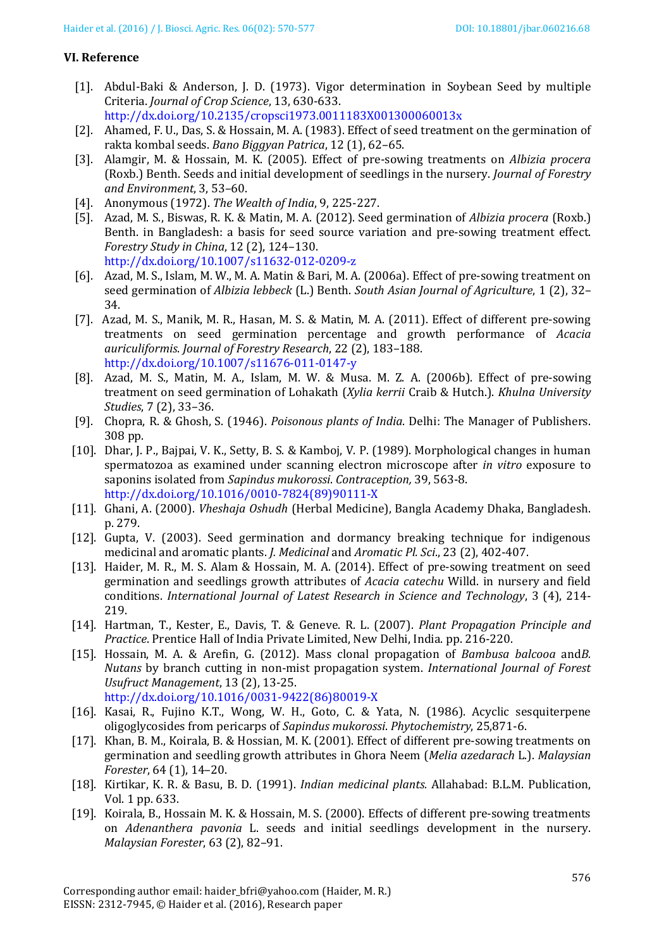#### **VI. Reference**

- <span id="page-6-13"></span>[1]. Abdul-Baki & Anderson, J. D. (1973). Vigor determination in Soybean Seed by multiple Criteria. *Journal of Crop Science*, 13, 630-633.
- <http://dx.doi.org/10.2135/cropsci1973.0011183X001300060013x>
- <span id="page-6-7"></span>[2]. Ahamed, F. U., Das, S. & Hossain, M. A. (1983). Effect of seed treatment on the germination of rakta kombal seeds. *Bano Biggyan Patrica*, 12 (1), 62–65.
- <span id="page-6-10"></span>[3]. Alamgir, M. & Hossain, M. K. (2005). Effect of pre-sowing treatments on *Albizia procera* (Roxb.) Benth. Seeds and initial development of seedlings in the nursery. *Journal of Forestry and Environment*, 3, 53–60.
- <span id="page-6-5"></span>[4]. Anonymous (1972). *The Wealth of India*, 9, 225-227.
- <span id="page-6-6"></span>[5]. Azad, M. S., Biswas, R. K. & Matin, M. A. (2012). Seed germination of *Albizia procera* (Roxb.) Benth. in Bangladesh: a basis for seed source variation and pre-sowing treatment effect. *Forestry Study in China*, 12 (2), 124–130. <http://dx.doi.org/10.1007/s11632-012-0209-z>
- [6]. Azad, M. S., Islam, M. W., M. A. Matin & Bari, M. A. (2006a). Effect of pre-sowing treatment on seed germination of *Albizia lebbeck* (L.) Benth. *South Asian Journal of Agriculture*, 1 (2), 32– 34.
- [7]. Azad, M. S., Manik, M. R., Hasan, M. S. & Matin, M. A. (2011). Effect of different pre-sowing treatments on seed germination percentage and growth performance of *Acacia auriculiformis*. *Journal of Forestry Research*, 22 (2), 183–188. <http://dx.doi.org/10.1007/s11676-011-0147-y>
- [8]. Azad, M. S., Matin, M. A., Islam, M. W. & Musa. M. Z. A. (2006b). Effect of pre-sowing treatment on seed germination of Lohakath (*Xylia kerrii* Craib & Hutch.). *Khulna University Studies*, 7 (2), 33–36.
- <span id="page-6-1"></span>[9]. Chopra, R. & Ghosh, S. (1946). *Poisonous plants of India*. Delhi: The Manager of Publishers. 308 pp.
- <span id="page-6-4"></span>[10]. Dhar, J. P., Bajpai, V. K., Setty, B. S. & Kamboj, V. P. (1989). Morphological changes in human spermatozoa as examined under scanning electron microscope after *in vitro* exposure to saponins isolated from *Sapindus mukorossi*. *Contraception,* 39, 563-8. [http://dx.doi.org/10.1016/0010-7824\(89\)90111-X](http://dx.doi.org/10.1016/0010-7824(89)90111-X)
- <span id="page-6-0"></span>[11]. Ghani, A. (2000). *Vheshaja Oshudh* (Herbal Medicine), Bangla Academy Dhaka, Bangladesh. p. 279.
- [12]. Gupta, V. (2003). Seed germination and dormancy breaking technique for indigenous medicinal and aromatic plants. *J. Medicinal* and *Aromatic Pl. Sci*., 23 (2), 402-407.
- <span id="page-6-11"></span>[13]. Haider, M. R., M. S. Alam & Hossain, M. A. (2014). Effect of pre-sowing treatment on seed germination and seedlings growth attributes of *Acacia catechu* Willd. in nursery and field conditions. *International Journal of Latest Research in Science and Technology*, 3 (4), 214- 219.
- <span id="page-6-14"></span>[14]. Hartman, T., Kester, E., Davis, T. & Geneve. R. L. (2007). *Plant Propagation Principle and Practice*. Prentice Hall of India Private Limited, New Delhi, India. pp. 216-220.
- <span id="page-6-12"></span>[15]. Hossain, M. A. & Arefin, G. (2012). Mass clonal propagation of *Bambusa balcooa* and*B. Nutans* by branch cutting in non-mist propagation system. *International Journal of Forest Usufruct Management*, 13 (2), 13-25. [http://dx.doi.org/10.1016/0031-9422\(86\)80019-X](http://dx.doi.org/10.1016/0031-9422(86)80019-X)
- <span id="page-6-2"></span>[16]. Kasai, R., Fujino K.T., Wong, W. H., Goto, C. & Yata, N. (1986). Acyclic sesquiterpene oligoglycosides from pericarps of *Sapindus mukorossi*. *Phytochemistry*, 25,871-6.
- <span id="page-6-9"></span>[17]. Khan, B. M., Koirala, B. & Hossian, M. K. (2001). Effect of different pre-sowing treatments on germination and seedling growth attributes in Ghora Neem (*Melia azedarach* L.). *Malaysian Forester*, 64 (1), 14–20.
- <span id="page-6-3"></span>[18]. Kirtikar, K. R. & Basu, B. D. (1991). *Indian medicinal plants.* Allahabad: B.L.M. Publication, Vol. 1 pp. 633.
- <span id="page-6-8"></span>[19]. Koirala, B., Hossain M. K. & Hossain, M. S. (2000). Effects of different pre-sowing treatments on *Adenanthera pavonia* L. seeds and initial seedlings development in the nursery. *Malaysian Forester*, 63 (2), 82–91.